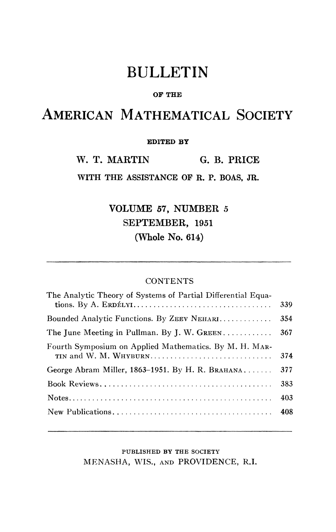# BULLETIN

#### **OF THE**

## AMERICAN MATHEMATICAL SOCIETY

### **EDITED BY**

W. T. MARTIN G. B. PRICE

**WITH THE ASSISTANCE OF R. P. BOAS, JR.** 

VOLUME 57, NUMBER 5 SEPTEMBER, 1951 (Whole No. 614)

### **CONTENTS**

| The Analytic Theory of Systems of Partial Differential Equa-                    | 339 |
|---------------------------------------------------------------------------------|-----|
| Bounded Analytic Functions. By ZEEV NEHARI                                      | 354 |
| The June Meeting in Pullman. By J. W. GREEN                                     | 367 |
| Fourth Symposium on Applied Mathematics. By M. H. MAR-<br>TIN and W. M. WHYBURN | 374 |
| George Abram Miller, 1863–1951. By H. R. BRAHANA                                | 377 |
|                                                                                 | 383 |
|                                                                                 | 403 |
|                                                                                 |     |
|                                                                                 |     |

PUBLISHED BY THE SOCIETY MENASHA, WIS., AND PROVIDENCE, R.I.